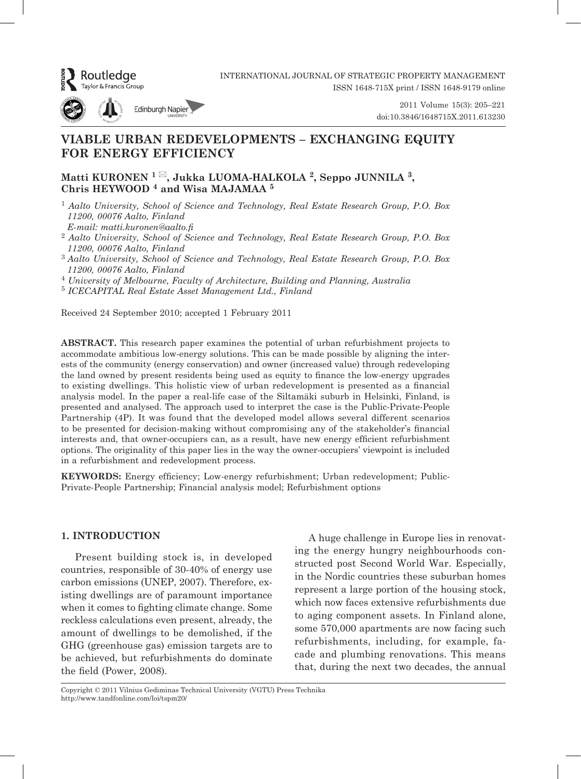



2011 Volume 15(3): 205–221 doi:10.3846/1648715X.2011.613230

# **Viable urban redevelopments – exchanging equity for energy efficiency**

## **Matti Kuronen 1 , Jukka Luoma-Halkola 2, Seppo Junnila 3, Chris Heywood 4 and Wisa Majamaa 5**

<sup>1</sup> *Aalto University, School of Science and Technology, Real Estate Research Group, P.O. Box 11200, 00076 Aalto, Finland*

 *E-mail: matti.kuronen@aalto.fi*

- <sup>2</sup> *Aalto University, School of Science and Technology, Real Estate Research Group, P.O. Box 11200, 00076 Aalto, Finland*
- <sup>3</sup>*Aalto University, School of Science and Technology, Real Estate Research Group, P.O. Box 11200, 00076 Aalto, Finland*
- <sup>4</sup> *University of Melbourne, Faculty of Architecture, Building and Planning, Australia*
- <sup>5</sup> *ICECAPITAL Real Estate Asset Management Ltd., Finland*

Received 24 September 2010; accepted 1 February 2011

**Abstract.** This research paper examines the potential of urban refurbishment projects to accommodate ambitious low-energy solutions. This can be made possible by aligning the interests of the community (energy conservation) and owner (increased value) through redeveloping the land owned by present residents being used as equity to finance the low-energy upgrades to existing dwellings. This holistic view of urban redevelopment is presented as a financial analysis model. In the paper a real-life case of the Siltamäki suburb in Helsinki, Finland, is presented and analysed. The approach used to interpret the case is the Public-Private-People Partnership (4P). It was found that the developed model allows several different scenarios to be presented for decision-making without compromising any of the stakeholder's financial interests and, that owner-occupiers can, as a result, have new energy efficient refurbishment options. The originality of this paper lies in the way the owner-occupiers' viewpoint is included in a refurbishment and redevelopment process.

**KEYWORDS:** Energy efficiency; Low-energy refurbishment; Urban redevelopment; Public-Private-People Partnership; Financial analysis model; Refurbishment options

### **1. Introduction**

Present building stock is, in developed countries, responsible of 30-40% of energy use carbon emissions (UNEP, 2007). Therefore, existing dwellings are of paramount importance when it comes to fighting climate change. Some reckless calculations even present, already, the amount of dwellings to be demolished, if the GHG (greenhouse gas) emission targets are to be achieved, but refurbishments do dominate the field (Power, 2008).

A huge challenge in Europe lies in renovating the energy hungry neighbourhoods constructed post Second World War. Especially, in the Nordic countries these suburban homes represent a large portion of the housing stock, which now faces extensive refurbishments due to aging component assets. In Finland alone, some 570,000 apartments are now facing such refurbishments, including, for example, facade and plumbing renovations. This means that, during the next two decades, the annual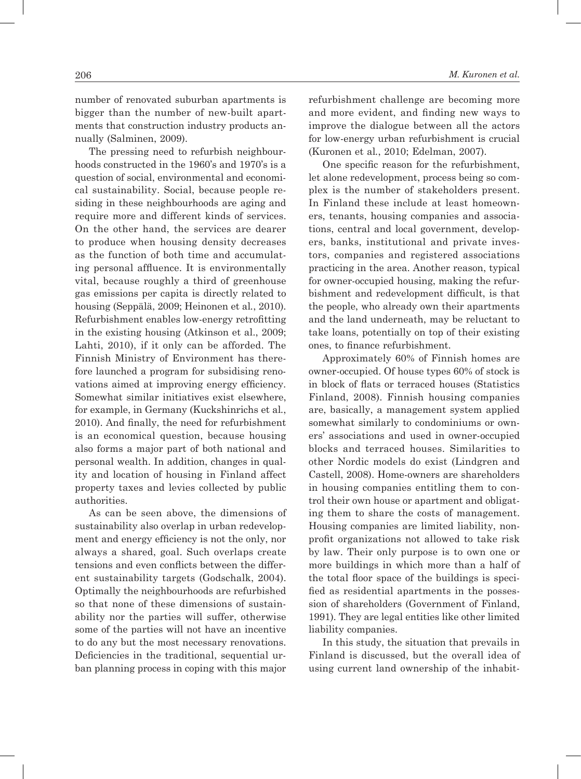number of renovated suburban apartments is bigger than the number of new-built apartments that construction industry products annually (Salminen, 2009).

The pressing need to refurbish neighbourhoods constructed in the 1960's and 1970's is a question of social, environmental and economical sustainability. Social, because people residing in these neighbourhoods are aging and require more and different kinds of services. On the other hand, the services are dearer to produce when housing density decreases as the function of both time and accumulating personal affluence. It is environmentally vital, because roughly a third of greenhouse gas emissions per capita is directly related to housing (Seppälä, 2009; Heinonen et al*.*, 2010). Refurbishment enables low-energy retrofitting in the existing housing (Atkinson et al., 2009; Lahti, 2010), if it only can be afforded. The Finnish Ministry of Environment has therefore launched a program for subsidising renovations aimed at improving energy efficiency. Somewhat similar initiatives exist elsewhere, for example, in Germany (Kuckshinrichs et al*.*, 2010). And finally, the need for refurbishment is an economical question, because housing also forms a major part of both national and personal wealth. In addition, changes in quality and location of housing in Finland affect property taxes and levies collected by public authorities.

As can be seen above, the dimensions of sustainability also overlap in urban redevelopment and energy efficiency is not the only, nor always a shared, goal. Such overlaps create tensions and even conflicts between the different sustainability targets (Godschalk, 2004). Optimally the neighbourhoods are refurbished so that none of these dimensions of sustainability nor the parties will suffer, otherwise some of the parties will not have an incentive to do any but the most necessary renovations. Deficiencies in the traditional, sequential urban planning process in coping with this major refurbishment challenge are becoming more and more evident, and finding new ways to improve the dialogue between all the actors for low-energy urban refurbishment is crucial (Kuronen et al*.*, 2010; Edelman, 2007).

One specific reason for the refurbishment, let alone redevelopment, process being so complex is the number of stakeholders present. In Finland these include at least homeowners, tenants, housing companies and associations, central and local government, developers, banks, institutional and private investors, companies and registered associations practicing in the area. Another reason, typical for owner-occupied housing, making the refurbishment and redevelopment difficult, is that the people, who already own their apartments and the land underneath, may be reluctant to take loans, potentially on top of their existing ones, to finance refurbishment.

Approximately 60% of Finnish homes are owner-occupied. Of house types 60% of stock is in block of flats or terraced houses (Statistics Finland, 2008). Finnish housing companies are, basically, a management system applied somewhat similarly to condominiums or owners' associations and used in owner-occupied blocks and terraced houses. Similarities to other Nordic models do exist (Lindgren and Castell, 2008). Home-owners are shareholders in housing companies entitling them to control their own house or apartment and obligating them to share the costs of management. Housing companies are limited liability, nonprofit organizations not allowed to take risk by law. Their only purpose is to own one or more buildings in which more than a half of the total floor space of the buildings is specified as residential apartments in the possession of shareholders (Government of Finland, 1991). They are legal entities like other limited liability companies.

In this study, the situation that prevails in Finland is discussed, but the overall idea of using current land ownership of the inhabit-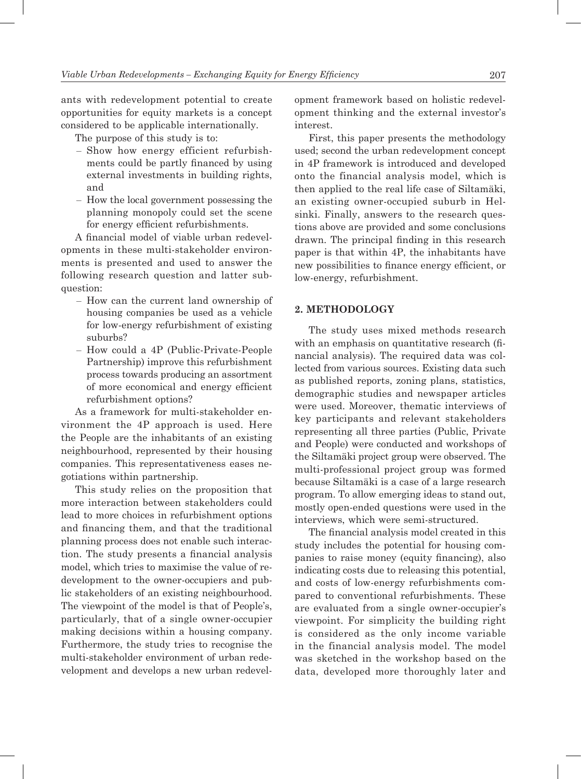ants with redevelopment potential to create opportunities for equity markets is a concept considered to be applicable internationally.

The purpose of this study is to:

- Show how energy efficient refurbishments could be partly financed by using external investments in building rights, and
- How the local government possessing the planning monopoly could set the scene for energy efficient refurbishments.

A financial model of viable urban redevelopments in these multi-stakeholder environments is presented and used to answer the following research question and latter subquestion:

- How can the current land ownership of housing companies be used as a vehicle for low-energy refurbishment of existing suburbs?
- How could a 4P (Public-Private-People Partnership) improve this refurbishment process towards producing an assortment of more economical and energy efficient refurbishment options?

As a framework for multi-stakeholder environment the 4P approach is used. Here the People are the inhabitants of an existing neighbourhood, represented by their housing companies. This representativeness eases negotiations within partnership.

This study relies on the proposition that more interaction between stakeholders could lead to more choices in refurbishment options and financing them, and that the traditional planning process does not enable such interaction. The study presents a financial analysis model, which tries to maximise the value of redevelopment to the owner-occupiers and public stakeholders of an existing neighbourhood. The viewpoint of the model is that of People's, particularly, that of a single owner-occupier making decisions within a housing company. Furthermore, the study tries to recognise the multi-stakeholder environment of urban redevelopment and develops a new urban redevelopment framework based on holistic redevelopment thinking and the external investor's interest.

First, this paper presents the methodology used; second the urban redevelopment concept in 4P framework is introduced and developed onto the financial analysis model, which is then applied to the real life case of Siltamäki, an existing owner-occupied suburb in Helsinki. Finally, answers to the research questions above are provided and some conclusions drawn. The principal finding in this research paper is that within 4P, the inhabitants have new possibilities to finance energy efficient, or low-energy, refurbishment.

### **2. Methodology**

The study uses mixed methods research with an emphasis on quantitative research (financial analysis). The required data was collected from various sources. Existing data such as published reports, zoning plans, statistics, demographic studies and newspaper articles were used. Moreover, thematic interviews of key participants and relevant stakeholders representing all three parties (Public, Private and People) were conducted and workshops of the Siltamäki project group were observed. The multi-professional project group was formed because Siltamäki is a case of a large research program. To allow emerging ideas to stand out, mostly open-ended questions were used in the interviews, which were semi-structured.

The financial analysis model created in this study includes the potential for housing companies to raise money (equity financing), also indicating costs due to releasing this potential, and costs of low-energy refurbishments compared to conventional refurbishments. These are evaluated from a single owner-occupier's viewpoint. For simplicity the building right is considered as the only income variable in the financial analysis model. The model was sketched in the workshop based on the data, developed more thoroughly later and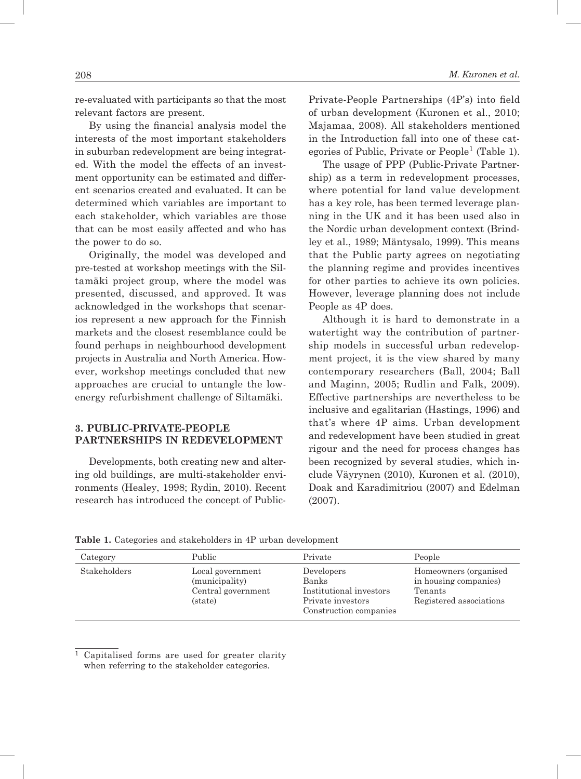re-evaluated with participants so that the most relevant factors are present.

By using the financial analysis model the interests of the most important stakeholders in suburban redevelopment are being integrated. With the model the effects of an investment opportunity can be estimated and different scenarios created and evaluated. It can be determined which variables are important to each stakeholder, which variables are those that can be most easily affected and who has the power to do so.

Originally, the model was developed and pre-tested at workshop meetings with the Siltamäki project group, where the model was presented, discussed, and approved. It was acknowledged in the workshops that scenarios represent a new approach for the Finnish markets and the closest resemblance could be found perhaps in neighbourhood development projects in Australia and North America. However, workshop meetings concluded that new approaches are crucial to untangle the lowenergy refurbishment challenge of Siltamäki.

### **3. Public-Private-People Partnerships in redevelopment**

Developments, both creating new and altering old buildings, are multi-stakeholder environments (Healey, 1998; Rydin, 2010). Recent research has introduced the concept of PublicPrivate-People Partnerships (4P's) into field of urban development (Kuronen et al., 2010; Majamaa, 2008). All stakeholders mentioned in the Introduction fall into one of these categories of Public, Private or People<sup>1</sup> (Table 1).

The usage of PPP (Public-Private Partnership) as a term in redevelopment processes, where potential for land value development has a key role, has been termed leverage planning in the UK and it has been used also in the Nordic urban development context (Brindley et al., 1989; Mäntysalo, 1999). This means that the Public party agrees on negotiating the planning regime and provides incentives for other parties to achieve its own policies. However, leverage planning does not include People as 4P does.

Although it is hard to demonstrate in a watertight way the contribution of partnership models in successful urban redevelopment project, it is the view shared by many contemporary researchers (Ball, 2004; Ball and Maginn, 2005; Rudlin and Falk, 2009). Effective partnerships are nevertheless to be inclusive and egalitarian (Hastings, 1996) and that's where 4P aims. Urban development and redevelopment have been studied in great rigour and the need for process changes has been recognized by several studies, which include Väyrynen (2010), Kuronen et al. (2010), Doak and Karadimitriou (2007) and Edelman (2007).

**Table 1.** Categories and stakeholders in 4P urban development

| Category            | Public                                                              | Private                                                                                       | People                                                                                |
|---------------------|---------------------------------------------------------------------|-----------------------------------------------------------------------------------------------|---------------------------------------------------------------------------------------|
| <b>Stakeholders</b> | Local government<br>(municipality)<br>Central government<br>(state) | Developers<br>Banks<br>Institutional investors<br>Private investors<br>Construction companies | Homeowners (organised)<br>in housing companies)<br>Tenants<br>Registered associations |

<sup>1</sup> Capitalised forms are used for greater clarity when referring to the stakeholder categories.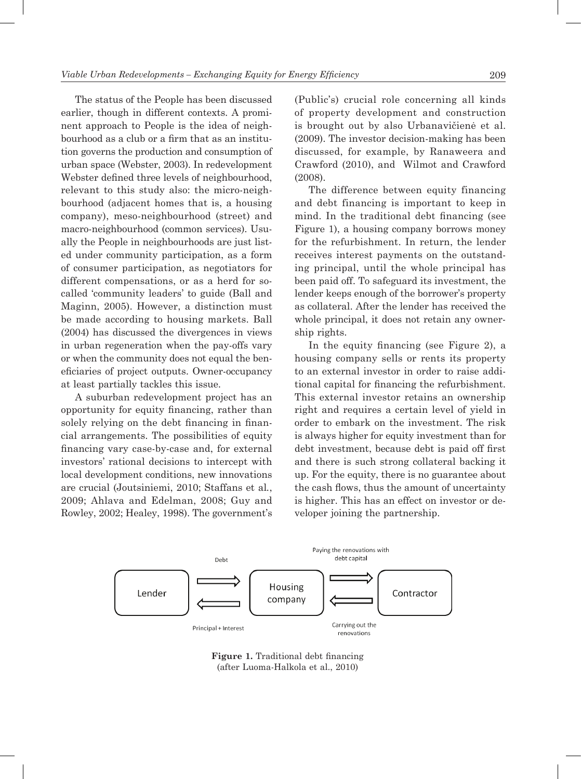The status of the People has been discussed earlier, though in different contexts. A prominent approach to People is the idea of neighbourhood as a club or a firm that as an institution governs the production and consumption of urban space (Webster, 2003). In redevelopment Webster defined three levels of neighbourhood, relevant to this study also: the micro-neighbourhood (adjacent homes that is, a housing company), meso-neighbourhood (street) and macro-neighbourhood (common services). Usually the People in neighbourhoods are just listed under community participation, as a form of consumer participation, as negotiators for different compensations, or as a herd for socalled 'community leaders' to guide (Ball and Maginn, 2005). However, a distinction must be made according to housing markets. Ball (2004) has discussed the divergences in views in urban regeneration when the pay-offs vary or when the community does not equal the beneficiaries of project outputs. Owner-occupancy at least partially tackles this issue.

A suburban redevelopment project has an opportunity for equity financing, rather than solely relying on the debt financing in financial arrangements. The possibilities of equity financing vary case-by-case and, for external investors' rational decisions to intercept with local development conditions, new innovations are crucial (Joutsiniemi, 2010; Staffans et al*.*, 2009; Ahlava and Edelman, 2008; Guy and Rowley, 2002; Healey, 1998). The government's (Public's) crucial role concerning all kinds of property development and construction is brought out by also Urbanavičienė et al. (2009). The investor decision-making has been discussed, for example, by Ranaweera and Crawford (2010), and Wilmot and Crawford (2008).

The difference between equity financing and debt financing is important to keep in mind. In the traditional debt financing (see Figure 1), a housing company borrows money for the refurbishment. In return, the lender receives interest payments on the outstanding principal, until the whole principal has been paid off. To safeguard its investment, the lender keeps enough of the borrower's property as collateral. After the lender has received the whole principal, it does not retain any ownership rights.

In the equity financing (see Figure 2), a housing company sells or rents its property to an external investor in order to raise additional capital for financing the refurbishment. This external investor retains an ownership right and requires a certain level of yield in order to embark on the investment. The risk is always higher for equity investment than for debt investment, because debt is paid off first and there is such strong collateral backing it up. For the equity, there is no guarantee about the cash flows, thus the amount of uncertainty is higher. This has an effect on investor or developer joining the partnership.



**Figure 1.** Traditional debt financing (after Luoma-Halkola et al., 2010)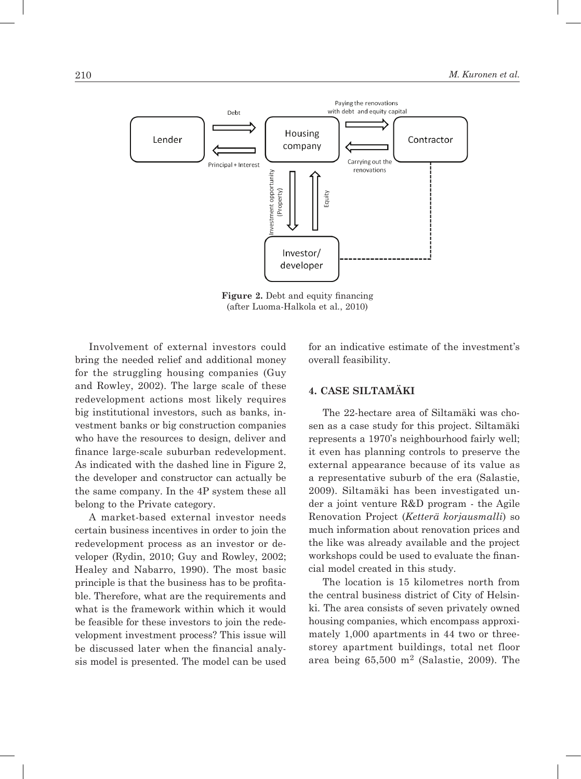

**Figure 2.** Debt and equity financing (after Luoma-Halkola et al*.*, 2010)

Involvement of external investors could bring the needed relief and additional money for the struggling housing companies (Guy and Rowley, 2002). The large scale of these redevelopment actions most likely requires big institutional investors, such as banks, investment banks or big construction companies who have the resources to design, deliver and finance large-scale suburban redevelopment. As indicated with the dashed line in Figure 2, the developer and constructor can actually be the same company. In the 4P system these all belong to the Private category.

A market-based external investor needs certain business incentives in order to join the redevelopment process as an investor or developer (Rydin, 2010; Guy and Rowley, 2002; Healey and Nabarro, 1990). The most basic principle is that the business has to be profitable. Therefore, what are the requirements and what is the framework within which it would be feasible for these investors to join the redevelopment investment process? This issue will be discussed later when the financial analysis model is presented. The model can be used for an indicative estimate of the investment's overall feasibility.

### **4. Case Siltamäki**

The 22-hectare area of Siltamäki was chosen as a case study for this project. Siltamäki represents a 1970's neighbourhood fairly well; it even has planning controls to preserve the external appearance because of its value as a representative suburb of the era (Salastie, 2009). Siltamäki has been investigated under a joint venture R&D program - the Agile Renovation Project (*Ketterä korjausmalli*) so much information about renovation prices and the like was already available and the project workshops could be used to evaluate the financial model created in this study.

The location is 15 kilometres north from the central business district of City of Helsinki. The area consists of seven privately owned housing companies, which encompass approximately 1,000 apartments in 44 two or threestorey apartment buildings, total net floor area being  $65,500 \text{ m}^2$  (Salastie, 2009). The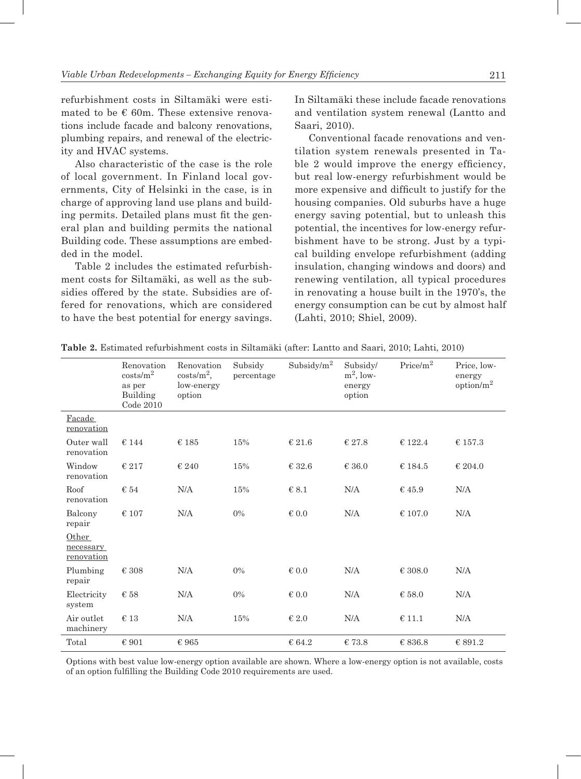refurbishment costs in Siltamäki were estimated to be  $\epsilon$  60m. These extensive renovations include facade and balcony renovations, plumbing repairs, and renewal of the electricity and HVAC systems.

Also characteristic of the case is the role of local government. In Finland local governments, City of Helsinki in the case, is in charge of approving land use plans and building permits. Detailed plans must fit the general plan and building permits the national Building code. These assumptions are embedded in the model.

Table 2 includes the estimated refurbishment costs for Siltamäki, as well as the subsidies offered by the state. Subsidies are offered for renovations, which are considered to have the best potential for energy savings. In Siltamäki these include facade renovations and ventilation system renewal (Lantto and Saari, 2010).

Conventional facade renovations and ventilation system renewals presented in Table 2 would improve the energy efficiency, but real low-energy refurbishment would be more expensive and difficult to justify for the housing companies. Old suburbs have a huge energy saving potential, but to unleash this potential, the incentives for low-energy refurbishment have to be strong. Just by a typical building envelope refurbishment (adding insulation, changing windows and doors) and renewing ventilation, all typical procedures in renovating a house built in the 1970's, the energy consumption can be cut by almost half (Lahti, 2010; Shiel, 2009).

|                                  | Renovation<br>$\text{costs/m}^2$<br>as per<br>Building<br>Code 2010 | Renovation<br>$costs/m^2$ ,<br>low-energy<br>option | Subsidy<br>percentage | Subsidy/ $m^2$ | Subsidy/<br>$m^2$ , low-<br>energy<br>option | Price/m <sup>2</sup> | Price, low-<br>energy<br>option/ $m2$ |
|----------------------------------|---------------------------------------------------------------------|-----------------------------------------------------|-----------------------|----------------|----------------------------------------------|----------------------|---------------------------------------|
| Facade<br>renovation             |                                                                     |                                                     |                       |                |                                              |                      |                                       |
| Outer wall<br>renovation         | € 144                                                               | € 185                                               | 15%                   | $\in 21.6$     | €27.8                                        | € 122.4              | €157.3                                |
| Window<br>renovation             | $\epsilon$ 217                                                      | $\epsilon$ 240                                      | 15%                   | €32.6          | €36.0                                        | € 184.5              | € 204.0                               |
| Roof<br>renovation               | $\in$ 54                                                            | N/A                                                 | 15%                   | $\in$ 8.1      | N/A                                          | €45.9                | N/A                                   |
| Balcony<br>repair                | €107                                                                | N/A                                                 | $0\%$                 | $\epsilon$ 0.0 | N/A                                          | €107.0               | N/A                                   |
| Other<br>necessary<br>renovation |                                                                     |                                                     |                       |                |                                              |                      |                                       |
| Plumbing<br>repair               | $\epsilon$ 308                                                      | N/A                                                 | $0\%$                 | € 0.0          | N/A                                          | € 308.0              | N/A                                   |
| Electricity<br>system            | € 58                                                                | N/A                                                 | $0\%$                 | $\epsilon$ 0.0 | N/A                                          | €58.0                | N/A                                   |
| Air outlet<br>machinery          | € 13                                                                | N/A                                                 | 15%                   | $\epsilon$ 2.0 | N/A                                          | € 11.1               | N/A                                   |
| Total                            | € 901                                                               | €965                                                |                       | €64.2          | €73.8                                        | € 836.8              | € 891.2                               |

**Table 2.** Estimated refurbishment costs in Siltamäki (after: Lantto and Saari, 2010; Lahti, 2010)

Options with best value low-energy option available are shown. Where a low-energy option is not available, costs of an option fulfilling the Building Code 2010 requirements are used.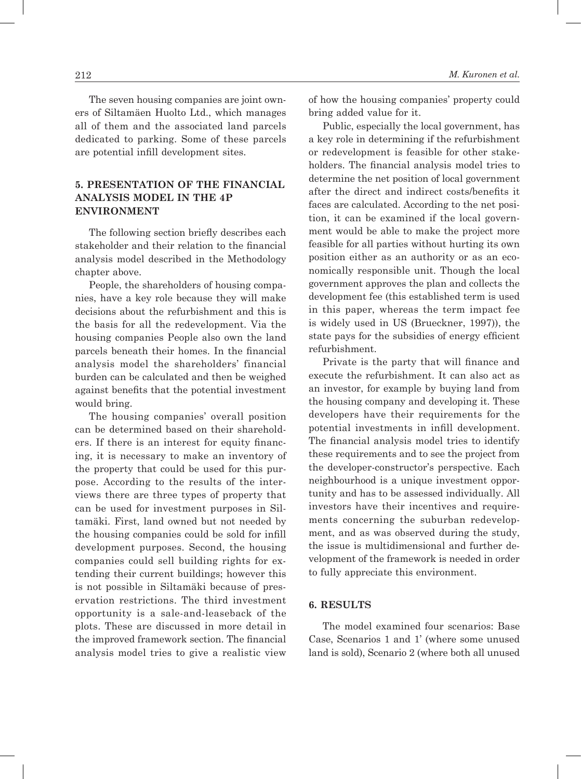The seven housing companies are joint owners of Siltamäen Huolto Ltd., which manages all of them and the associated land parcels dedicated to parking. Some of these parcels are potential infill development sites.

# **5. Presentation of the financial analysis model in the 4P environment**

The following section briefly describes each stakeholder and their relation to the financial analysis model described in the Methodology chapter above.

People, the shareholders of housing companies, have a key role because they will make decisions about the refurbishment and this is the basis for all the redevelopment. Via the housing companies People also own the land parcels beneath their homes. In the financial analysis model the shareholders' financial burden can be calculated and then be weighed against benefits that the potential investment would bring.

The housing companies' overall position can be determined based on their shareholders. If there is an interest for equity financing, it is necessary to make an inventory of the property that could be used for this purpose. According to the results of the interviews there are three types of property that can be used for investment purposes in Siltamäki. First, land owned but not needed by the housing companies could be sold for infill development purposes. Second, the housing companies could sell building rights for extending their current buildings; however this is not possible in Siltamäki because of preservation restrictions. The third investment opportunity is a sale-and-leaseback of the plots. These are discussed in more detail in the improved framework section. The financial analysis model tries to give a realistic view

of how the housing companies' property could bring added value for it.

Public, especially the local government, has a key role in determining if the refurbishment or redevelopment is feasible for other stakeholders. The financial analysis model tries to determine the net position of local government after the direct and indirect costs/benefits it faces are calculated. According to the net position, it can be examined if the local government would be able to make the project more feasible for all parties without hurting its own position either as an authority or as an economically responsible unit. Though the local government approves the plan and collects the development fee (this established term is used in this paper, whereas the term impact fee is widely used in US (Brueckner, 1997)), the state pays for the subsidies of energy efficient refurbishment.

Private is the party that will finance and execute the refurbishment. It can also act as an investor, for example by buying land from the housing company and developing it. These developers have their requirements for the potential investments in infill development. The financial analysis model tries to identify these requirements and to see the project from the developer-constructor's perspective. Each neighbourhood is a unique investment opportunity and has to be assessed individually. All investors have their incentives and requirements concerning the suburban redevelopment, and as was observed during the study, the issue is multidimensional and further development of the framework is needed in order to fully appreciate this environment.

### **6. Results**

The model examined four scenarios: Base Case, Scenarios 1 and 1' (where some unused land is sold), Scenario 2 (where both all unused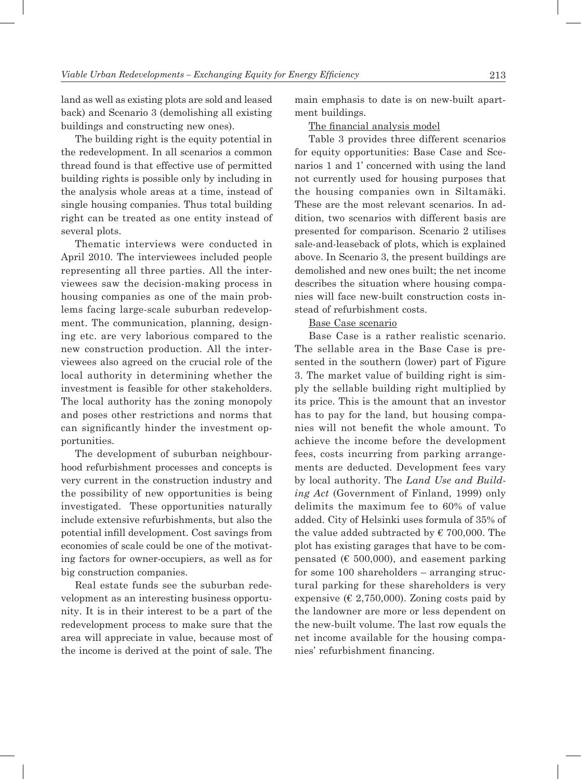land as well as existing plots are sold and leased back) and Scenario 3 (demolishing all existing buildings and constructing new ones).

The building right is the equity potential in the redevelopment. In all scenarios a common thread found is that effective use of permitted building rights is possible only by including in the analysis whole areas at a time, instead of single housing companies. Thus total building right can be treated as one entity instead of several plots.

Thematic interviews were conducted in April 2010. The interviewees included people representing all three parties. All the interviewees saw the decision-making process in housing companies as one of the main problems facing large-scale suburban redevelopment. The communication, planning, designing etc. are very laborious compared to the new construction production. All the interviewees also agreed on the crucial role of the local authority in determining whether the investment is feasible for other stakeholders. The local authority has the zoning monopoly and poses other restrictions and norms that can significantly hinder the investment opportunities.

The development of suburban neighbourhood refurbishment processes and concepts is very current in the construction industry and the possibility of new opportunities is being investigated. These opportunities naturally include extensive refurbishments, but also the potential infill development. Cost savings from economies of scale could be one of the motivating factors for owner-occupiers, as well as for big construction companies.

Real estate funds see the suburban redevelopment as an interesting business opportunity. It is in their interest to be a part of the redevelopment process to make sure that the area will appreciate in value, because most of the income is derived at the point of sale. The

main emphasis to date is on new-built apartment buildings.

The financial analysis model

Table 3 provides three different scenarios for equity opportunities: Base Case and Scenarios 1 and 1' concerned with using the land not currently used for housing purposes that the housing companies own in Siltamäki. These are the most relevant scenarios. In addition, two scenarios with different basis are presented for comparison. Scenario 2 utilises sale-and-leaseback of plots, which is explained above. In Scenario 3, the present buildings are demolished and new ones built; the net income describes the situation where housing companies will face new-built construction costs instead of refurbishment costs.

Base Case scenario

Base Case is a rather realistic scenario. The sellable area in the Base Case is presented in the southern (lower) part of Figure 3. The market value of building right is simply the sellable building right multiplied by its price. This is the amount that an investor has to pay for the land, but housing companies will not benefit the whole amount. To achieve the income before the development fees, costs incurring from parking arrangements are deducted. Development fees vary by local authority. The *Land Use and Building Act* (Government of Finland, 1999) only delimits the maximum fee to 60% of value added. City of Helsinki uses formula of 35% of the value added subtracted by  $\epsilon$  700,000. The plot has existing garages that have to be compensated ( $\epsilon$  500,000), and easement parking for some 100 shareholders – arranging structural parking for these shareholders is very expensive ( $\epsilon$  2,750,000). Zoning costs paid by the landowner are more or less dependent on the new-built volume. The last row equals the net income available for the housing companies' refurbishment financing.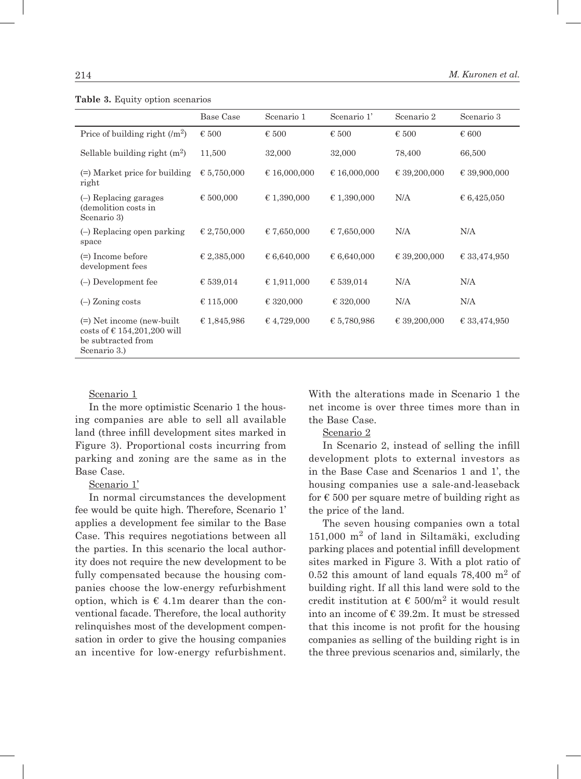|  |  | <b>Table 3.</b> Equity option scenarios |
|--|--|-----------------------------------------|
|  |  |                                         |

|                                                                                                            | Base Case            | Scenario 1     | Scenario 1'  | Scenario 2     | Scenario 3     |
|------------------------------------------------------------------------------------------------------------|----------------------|----------------|--------------|----------------|----------------|
| Price of building right $(m^2)$                                                                            | € 500                | $\epsilon$ 500 | € 500        | $\epsilon$ 500 | $\epsilon$ 600 |
| Sellable building right $(m^2)$                                                                            | 11,500               | 32,000         | 32,000       | 78,400         | 66,500         |
| $(=)$ Market price for building<br>right                                                                   | € 5,750,000          | € 16,000,000   | € 16,000,000 | € 39,200,000   | € 39,900,000   |
| $(-)$ Replacing garages<br>(demolition costs in<br>Scenario 3)                                             | € $500,000$          | € 1,390,000    | € 1,390,000  | N/A            | € 6,425,050    |
| $(-)$ Replacing open parking<br>space                                                                      | $\epsilon$ 2,750,000 | € 7,650,000    | € 7,650,000  | N/A            | N/A            |
| $(=)$ Income before<br>development fees                                                                    | € 2,385,000          | € 6,640,000    | € 6,640,000  | € 39,200,000   | € 33,474,950   |
| $(-)$ Development fee                                                                                      | € 539,014            | € 1,911,000    | € 539,014    | N/A            | N/A            |
| $\left(\frac{1}{2}\right)$ Zoning costs                                                                    | € 115,000            | € 320,000      | € 320,000    | N/A            | N/A            |
| $(=)$ Net income (new-built)<br>costs of $\epsilon$ 154,201,200 will<br>be subtracted from<br>Scenario 3.) | € 1,845,986          | € 4,729,000    | € 5,780,986  | € 39,200,000   | € 33,474,950   |

#### Scenario 1

In the more optimistic Scenario 1 the housing companies are able to sell all available land (three infill development sites marked in Figure 3). Proportional costs incurring from parking and zoning are the same as in the Base Case.

### Scenario 1'

In normal circumstances the development fee would be quite high. Therefore, Scenario 1' applies a development fee similar to the Base Case. This requires negotiations between all the parties. In this scenario the local authority does not require the new development to be fully compensated because the housing companies choose the low-energy refurbishment option, which is  $\epsilon$  4.1m dearer than the conventional facade. Therefore, the local authority relinquishes most of the development compensation in order to give the housing companies an incentive for low-energy refurbishment. With the alterations made in Scenario 1 the net income is over three times more than in the Base Case.

#### Scenario 2

In Scenario 2, instead of selling the infill development plots to external investors as in the Base Case and Scenarios 1 and 1', the housing companies use a sale-and-leaseback for  $\epsilon$  500 per square metre of building right as the price of the land.

The seven housing companies own a total  $151,000$  m<sup>2</sup> of land in Siltamäki, excluding parking places and potential infill development sites marked in Figure 3. With a plot ratio of 0.52 this amount of land equals  $78,400 \text{ m}^2$  of building right. If all this land were sold to the credit institution at  $\epsilon$  500/m<sup>2</sup> it would result into an income of  $\in$  39.2m. It must be stressed that this income is not profit for the housing companies as selling of the building right is in the three previous scenarios and, similarly, the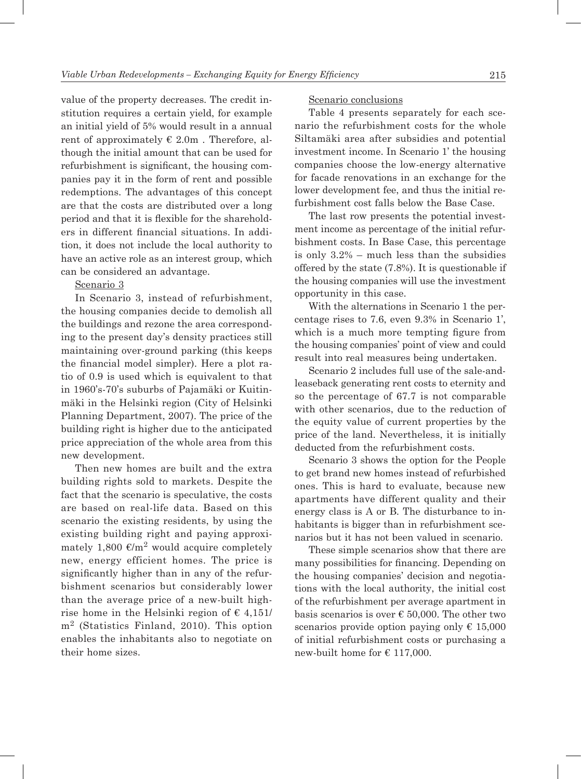value of the property decreases. The credit institution requires a certain yield, for example an initial yield of 5% would result in a annual rent of approximately  $\in 2.0$ m. Therefore, although the initial amount that can be used for refurbishment is significant, the housing companies pay it in the form of rent and possible redemptions. The advantages of this concept are that the costs are distributed over a long period and that it is flexible for the shareholders in different financial situations. In addition, it does not include the local authority to have an active role as an interest group, which can be considered an advantage.

#### Scenario 3

In Scenario 3, instead of refurbishment, the housing companies decide to demolish all the buildings and rezone the area corresponding to the present day's density practices still maintaining over-ground parking (this keeps the financial model simpler). Here a plot ratio of 0.9 is used which is equivalent to that in 1960's-70's suburbs of Pajamäki or Kuitinmäki in the Helsinki region (City of Helsinki Planning Department, 2007). The price of the building right is higher due to the anticipated price appreciation of the whole area from this new development.

Then new homes are built and the extra building rights sold to markets. Despite the fact that the scenario is speculative, the costs are based on real-life data. Based on this scenario the existing residents, by using the existing building right and paying approximately 1,800  $\epsilon/m^2$  would acquire completely new, energy efficient homes. The price is significantly higher than in any of the refurbishment scenarios but considerably lower than the average price of a new-built highrise home in the Helsinki region of  $\epsilon$  4,151/ m2 (Statistics Finland, 2010). This option enables the inhabitants also to negotiate on their home sizes.

#### Scenario conclusions

Table 4 presents separately for each scenario the refurbishment costs for the whole Siltamäki area after subsidies and potential investment income. In Scenario 1' the housing companies choose the low-energy alternative for facade renovations in an exchange for the lower development fee, and thus the initial refurbishment cost falls below the Base Case.

The last row presents the potential investment income as percentage of the initial refurbishment costs. In Base Case, this percentage is only 3.2% – much less than the subsidies offered by the state (7.8%). It is questionable if the housing companies will use the investment opportunity in this case.

With the alternations in Scenario 1 the percentage rises to 7.6, even 9.3% in Scenario 1', which is a much more tempting figure from the housing companies' point of view and could result into real measures being undertaken.

Scenario 2 includes full use of the sale-andleaseback generating rent costs to eternity and so the percentage of 67.7 is not comparable with other scenarios, due to the reduction of the equity value of current properties by the price of the land. Nevertheless, it is initially deducted from the refurbishment costs.

Scenario 3 shows the option for the People to get brand new homes instead of refurbished ones. This is hard to evaluate, because new apartments have different quality and their energy class is A or B. The disturbance to inhabitants is bigger than in refurbishment scenarios but it has not been valued in scenario.

These simple scenarios show that there are many possibilities for financing. Depending on the housing companies' decision and negotiations with the local authority, the initial cost of the refurbishment per average apartment in basis scenarios is over  $\epsilon$  50,000. The other two scenarios provide option paying only  $\epsilon$  15,000 of initial refurbishment costs or purchasing a new-built home for  $\in$  117,000.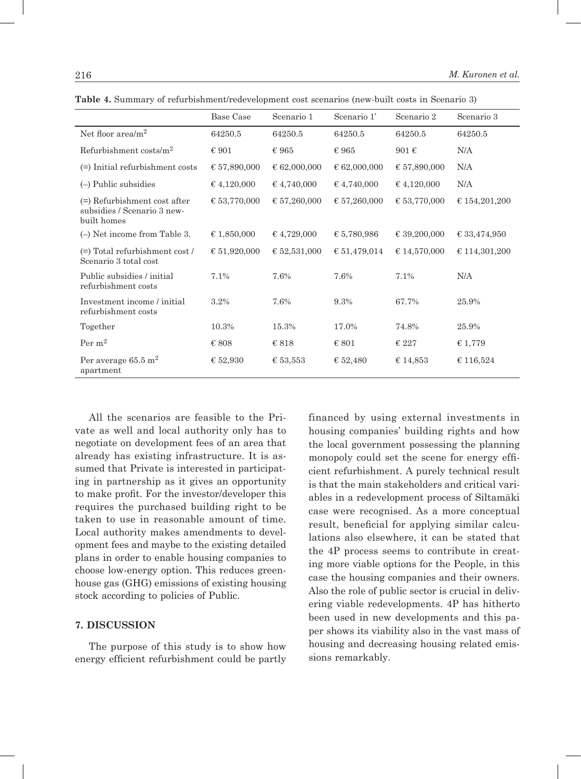|                                                                              | <b>Base Case</b> | Scenario 1           | Scenario 1'          | Scenario 2                        | Scenario 3    |
|------------------------------------------------------------------------------|------------------|----------------------|----------------------|-----------------------------------|---------------|
| Net floor area/ $m^2$                                                        | 64250.5          | 64250.5              | 64250.5              | 64250.5                           | 64250.5       |
| Refurbishment costs/ $m2$                                                    | $\epsilon$ 901   | €965                 | €965                 | 901 $\varepsilon$                 | N/A           |
| $(=)$ Initial refurbishment costs                                            | € 57,890,000     | € 62,000,000         | € 62,000,000         | $\mathop{\varepsilon}$ 57,890,000 | N/A           |
| $(-)$ Public subsidies                                                       | € 4,120,000      | $\epsilon$ 4,740,000 | $\epsilon$ 4,740,000 | € 4,120,000                       | N/A           |
| $(=)$ Refurbishment cost after<br>subsidies / Scenario 3 new-<br>built homes | € 53,770,000     | € $57,260,000$       | € $57,260,000$       | € $53,770,000$                    | € 154,201,200 |
| $(-)$ Net income from Table 3.                                               | € 1,850,000      | 64,729,000           | € 5,780,986          | € 39,200,000                      | € 33,474,950  |
| $(=)$ Total refurbishment cost /<br>Scenario 3 total cost                    | € 51,920,000     | € $52,531,000$       | € 51,479,014         | € 14,570,000                      | € 114,301,200 |
| Public subsidies / initial<br>refurbishment costs                            | 7.1%             | 7.6%                 | 7.6%                 | 7.1%                              | N/A           |
| Investment income / initial<br>refurbishment costs                           | 3.2%             | 7.6%                 | 9.3%                 | 67.7%                             | 25.9%         |
| Together                                                                     | 10.3%            | 15.3%                | 17.0%                | 74.8%                             | 25.9%         |
| Per $m2$                                                                     | $\epsilon$ 808   | € 818                | € 801                | $\epsilon$ 227                    | € 1,779       |
| Per average $65.5 \text{ m}^2$<br>apartment                                  | € 52,930         | € 53,553             | € 52,480             | € 14,853                          | € 116,524     |

**Table 4.** Summary of refurbishment/redevelopment cost scenarios (new-built costs in Scenario 3)

All the scenarios are feasible to the Private as well and local authority only has to negotiate on development fees of an area that already has existing infrastructure. It is assumed that Private is interested in participating in partnership as it gives an opportunity to make profit. For the investor/developer this requires the purchased building right to be taken to use in reasonable amount of time. Local authority makes amendments to development fees and maybe to the existing detailed plans in order to enable housing companies to choose low-energy option. This reduces greenhouse gas (GHG) emissions of existing housing stock according to policies of Public.

### **7. Discussion**

The purpose of this study is to show how energy efficient refurbishment could be partly financed by using external investments in housing companies' building rights and how the local government possessing the planning monopoly could set the scene for energy efficient refurbishment. A purely technical result is that the main stakeholders and critical variables in a redevelopment process of Siltamäki case were recognised. As a more conceptual result, beneficial for applying similar calculations also elsewhere, it can be stated that the 4P process seems to contribute in creating more viable options for the People, in this case the housing companies and their owners. Also the role of public sector is crucial in delivering viable redevelopments. 4P has hitherto been used in new developments and this paper shows its viability also in the vast mass of housing and decreasing housing related emissions remarkably.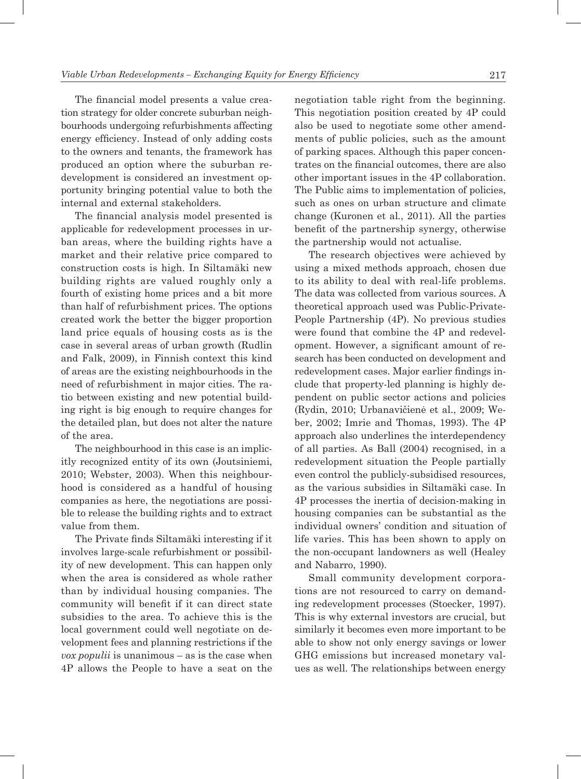The financial model presents a value creation strategy for older concrete suburban neighbourhoods undergoing refurbishments affecting energy efficiency. Instead of only adding costs to the owners and tenants, the framework has produced an option where the suburban redevelopment is considered an investment opportunity bringing potential value to both the internal and external stakeholders.

The financial analysis model presented is applicable for redevelopment processes in urban areas, where the building rights have a market and their relative price compared to construction costs is high. In Siltamäki new building rights are valued roughly only a fourth of existing home prices and a bit more than half of refurbishment prices. The options created work the better the bigger proportion land price equals of housing costs as is the case in several areas of urban growth (Rudlin and Falk, 2009), in Finnish context this kind of areas are the existing neighbourhoods in the need of refurbishment in major cities. The ratio between existing and new potential building right is big enough to require changes for the detailed plan, but does not alter the nature of the area.

The neighbourhood in this case is an implicitly recognized entity of its own (Joutsiniemi, 2010; Webster, 2003). When this neighbourhood is considered as a handful of housing companies as here, the negotiations are possible to release the building rights and to extract value from them.

The Private finds Siltamäki interesting if it involves large-scale refurbishment or possibility of new development. This can happen only when the area is considered as whole rather than by individual housing companies. The community will benefit if it can direct state subsidies to the area. To achieve this is the local government could well negotiate on development fees and planning restrictions if the *vox populii* is unanimous – as is the case when 4P allows the People to have a seat on the negotiation table right from the beginning. This negotiation position created by 4P could also be used to negotiate some other amendments of public policies, such as the amount of parking spaces. Although this paper concentrates on the financial outcomes, there are also other important issues in the 4P collaboration. The Public aims to implementation of policies, such as ones on urban structure and climate change (Kuronen et al*.*, 2011). All the parties benefit of the partnership synergy, otherwise the partnership would not actualise.

The research objectives were achieved by using a mixed methods approach, chosen due to its ability to deal with real-life problems. The data was collected from various sources. A theoretical approach used was Public-Private-People Partnership (4P). No previous studies were found that combine the 4P and redevelopment. However, a significant amount of research has been conducted on development and redevelopment cases. Major earlier findings include that property-led planning is highly dependent on public sector actions and policies (Rydin, 2010; Urbanavičienė et al., 2009; Weber, 2002; Imrie and Thomas, 1993). The 4P approach also underlines the interdependency of all parties. As Ball (2004) recognised, in a redevelopment situation the People partially even control the publicly-subsidised resources, as the various subsidies in Siltamäki case. In 4P processes the inertia of decision-making in housing companies can be substantial as the individual owners' condition and situation of life varies. This has been shown to apply on the non-occupant landowners as well (Healey and Nabarro, 1990).

Small community development corporations are not resourced to carry on demanding redevelopment processes (Stoecker, 1997). This is why external investors are crucial, but similarly it becomes even more important to be able to show not only energy savings or lower GHG emissions but increased monetary values as well. The relationships between energy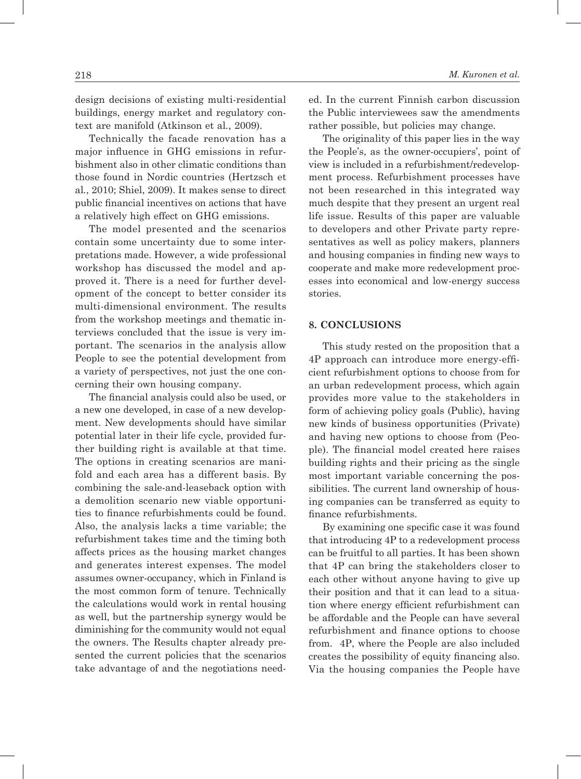design decisions of existing multi-residential buildings, energy market and regulatory context are manifold (Atkinson et al*.*, 2009).

Technically the facade renovation has a major influence in GHG emissions in refurbishment also in other climatic conditions than those found in Nordic countries (Hertzsch et al*.*, 2010; Shiel, 2009). It makes sense to direct public financial incentives on actions that have a relatively high effect on GHG emissions.

The model presented and the scenarios contain some uncertainty due to some interpretations made. However, a wide professional workshop has discussed the model and approved it. There is a need for further development of the concept to better consider its multi-dimensional environment. The results from the workshop meetings and thematic interviews concluded that the issue is very important. The scenarios in the analysis allow People to see the potential development from a variety of perspectives, not just the one concerning their own housing company.

The financial analysis could also be used, or a new one developed, in case of a new development. New developments should have similar potential later in their life cycle, provided further building right is available at that time. The options in creating scenarios are manifold and each area has a different basis. By combining the sale-and-leaseback option with a demolition scenario new viable opportunities to finance refurbishments could be found. Also, the analysis lacks a time variable; the refurbishment takes time and the timing both affects prices as the housing market changes and generates interest expenses. The model assumes owner-occupancy, which in Finland is the most common form of tenure. Technically the calculations would work in rental housing as well, but the partnership synergy would be diminishing for the community would not equal the owners. The Results chapter already presented the current policies that the scenarios take advantage of and the negotiations needed. In the current Finnish carbon discussion the Public interviewees saw the amendments rather possible, but policies may change.

The originality of this paper lies in the way the People's, as the owner-occupiers', point of view is included in a refurbishment/redevelopment process. Refurbishment processes have not been researched in this integrated way much despite that they present an urgent real life issue. Results of this paper are valuable to developers and other Private party representatives as well as policy makers, planners and housing companies in finding new ways to cooperate and make more redevelopment processes into economical and low-energy success stories.

#### **8. Conclusions**

This study rested on the proposition that a 4P approach can introduce more energy-efficient refurbishment options to choose from for an urban redevelopment process, which again provides more value to the stakeholders in form of achieving policy goals (Public), having new kinds of business opportunities (Private) and having new options to choose from (People). The financial model created here raises building rights and their pricing as the single most important variable concerning the possibilities. The current land ownership of housing companies can be transferred as equity to finance refurbishments.

By examining one specific case it was found that introducing 4P to a redevelopment process can be fruitful to all parties. It has been shown that 4P can bring the stakeholders closer to each other without anyone having to give up their position and that it can lead to a situation where energy efficient refurbishment can be affordable and the People can have several refurbishment and finance options to choose from. 4P, where the People are also included creates the possibility of equity financing also. Via the housing companies the People have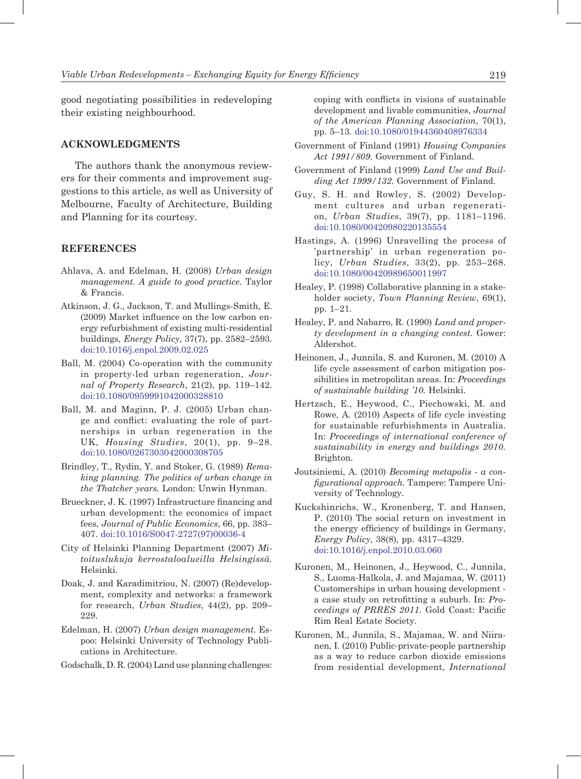good negotiating possibilities in redeveloping their existing neighbourhood.

### **Acknowledgments**

The authors thank the anonymous reviewers for their comments and improvement suggestions to this article, as well as University of Melbourne, Faculty of Architecture, Building and Planning for its courtesy.

### **References**

- Ahlava, A. and Edelman, H. (2008) *Urban design management. A guide to good practice.* Taylor & Francis.
- Atkinson, J. G., Jackson, T. and Mullings-Smith, E. (2009) Market influence on the low carbon energy refurbishment of existing multi-residential buildings, *Energy Policy*, 37(7), pp. 2582–2593. [doi:10.1016/j.enpol.2009.02.025](http://dx.doi.org/10.1016/j.enpol.2009.02.025)
- Ball, M. (2004) Co-operation with the community in property-led urban regeneration, *Journal of Property Research*, 21(2), pp. 119–142. [doi:10.1080/0959991042000328810](http://dx.doi.org/10.1080/0959991042000328810)
- Ball, M. and Maginn, P. J. (2005) Urban change and conflict: evaluating the role of partnerships in urban regeneration in the UK, *Housing Studies*, 20(1), pp. 9–28. [doi:10.1080/0267303042000308705](http://dx.doi.org/10.1080/0267303042000308705)
- Brindley, T., Rydin, Y. and Stoker, G. (1989) *Remaking planning. The politics of urban change in the Thatcher years.* London: Unwin Hynman.
- Brueckner, J. K. (1997) Infrastructure financing and urban development: the economics of impact fees, *Journal of Public Economics*, 66, pp. 383– 407. [doi:10.1016/S0047-2727\(97\)00036-4](http://dx.doi.org/10.1016/S0047-2727(97)00036-4)
- City of Helsinki Planning Department (2007) *Mitoituslukuja kerrostaloalueilla Helsingissä.* Helsinki.
- Doak, J. and Karadimitriou, N. (2007) (Re)development, complexity and networks: a framework for research, *Urban Studies*, 44(2), pp. 209– 229.
- Edelman, H. (2007) *Urban design management.* Espoo: Helsinki University of Technology Publications in Architecture.
- Godschalk, D. R. (2004) Land use planning challenges:

coping with conflicts in visions of sustainable development and livable communities, *Journal of the American Planning Association*, 70(1), pp. 5–13. [doi:10.1080/01944360408976334](http://dx.doi.org/10.1080/01944360408976334)

- Government of Finland (1991) *Housing Companies Act 1991/809*. Government of Finland.
- Government of Finland (1999) *Land Use and Building Act 1999/132*. Government of Finland.
- Guy, S. H. and Rowley, S. (2002) Development cultures and urban regeneration, *Urban Studies*, 39(7), pp. 1181–1196. [doi:10.1080/00420980220135554](http://dx.doi.org/10.1080/00420980220135554)
- Hastings, A. (1996) Unravelling the process of 'partnership' in urban regeneration policy, *Urban Studies*, 33(2), pp. 253–268. [doi:10.1080/00420989650011997](http://dx.doi.org/10.1080/00420989650011997)
- Healey, P. (1998) Collaborative planning in a stakeholder society, *Town Planning Review*, 69(1), pp. 1–21.
- Healey, P. and Nabarro, R. (1990) *Land and property development in a changing contest.* Gower: Aldershot.
- Heinonen, J., Junnila, S. and Kuronen, M. (2010) A life cycle assessment of carbon mitigation possibilities in metropolitan areas. In: *Proceedings of sustainable building '10.* Helsinki.
- Hertzsch, E., Heywood, C., Piechowski, M. and Rowe, A. (2010) Aspects of life cycle investing for sustainable refurbishments in Australia. In: *Proceedings of international conference of sustainability in energy and buildings 2010.* Brighton.
- Joutsiniemi, A. (2010) *Becoming metapolis a configurational approach.* Tampere: Tampere University of Technology.
- Kuckshinrichs, W., Kronenberg, T. and Hansen, P. (2010) The social return on investment in the energy efficiency of buildings in Germany, *Energy Policy*, 38(8), pp. 4317–4329. [doi:10.1016/j.enpol.2010.03.060](http://dx.doi.org/10.1016/j.enpol.2010.03.060)
- Kuronen, M., Heinonen, J., Heywood, C., Junnila, S., Luoma-Halkola, J. and Majamaa, W. (2011) Customerships in urban housing development a case study on retrofitting a suburb. In: *Proceedings of PRRES 2011.* Gold Coast: Pacific Rim Real Estate Society.
- Kuronen, M., Junnila, S., Majamaa, W. and Niiranen, I. (2010) Public-private-people partnership as a way to reduce carbon dioxide emissions from residential development, *International*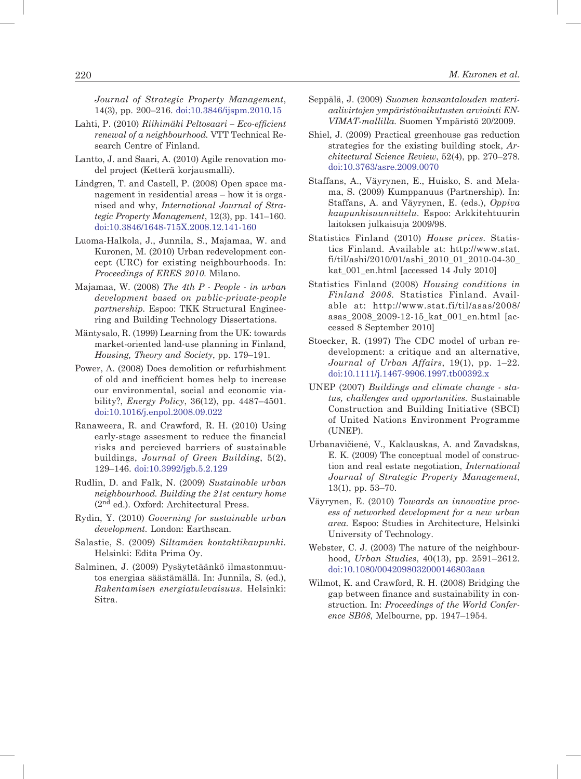*Journal of Strategic Property Management*, 14(3), pp. 200–216. [doi:10.3846/ijspm.2010.15](http://dx.doi.org/10.3846/ijspm.2010.15)

- Lahti, P. (2010) *Riihimäki Peltosaari – Eco-efficient renewal of a neighbourhood.* VTT Technical Research Centre of Finland.
- Lantto, J. and Saari, A. (2010) Agile renovation model project (Ketterä korjausmalli).
- Lindgren, T. and Castell, P. (2008) Open space management in residential areas – how it is organised and why, *International Journal of Strategic Property Management*, 12(3), pp. 141–160. [doi:10.3846/1648-715X.2008.12.141-160](http://dx.doi.org/10.3846/1648-715X.2008.12.141-160)
- Luoma-Halkola, J., Junnila, S., Majamaa, W. and Kuronen, M. (2010) Urban redevelopment concept (URC) for existing neighbourhoods. In: *Proceedings of ERES 2010.* Milano.
- Majamaa, W. (2008) *The 4th P People in urban development based on public-private-people partnership.* Espoo: TKK Structural Engineering and Building Technology Dissertations.
- Mäntysalo, R. (1999) Learning from the UK: towards market-oriented land-use planning in Finland, *Housing, Theory and Society*, pp. 179–191.
- Power, A. (2008) Does demolition or refurbishment of old and inefficient homes help to increase our environmental, social and economic viability?, *Energy Policy*, 36(12), pp. 4487–4501. [doi:10.1016/j.enpol.2008.09.022](http://dx.doi.org/10.1016/j.enpol.2008.09.022)
- Ranaweera, R. and Crawford, R. H. (2010) Using early-stage assesment to reduce the financial risks and percieved barriers of sustainable buildings, *Journal of Green Building*, 5(2), 129–146. [doi:10.3992/jgb.5.2.129](http://dx.doi.org/10.3992/jgb.5.2.129)
- Rudlin, D. and Falk, N. (2009) *Sustainable urban neighbourhood. Building the 21st century home* (2nd ed.). Oxford: Architectural Press.
- Rydin, Y. (2010) *Governing for sustainable urban development.* London: Earthscan.
- Salastie, S. (2009) *Siltamäen kontaktikaupunki.* Helsinki: Edita Prima Oy.
- Salminen, J. (2009) Pysäytetäänkö ilmastonmuutos energiaa säästämällä. In: Junnila, S. (ed.), *Rakentamisen energiatulevaisuus.* Helsinki: Sitra.
- Seppälä, J. (2009) *Suomen kansantalouden materiaalivirtojen ympäristövaikutusten arviointi EN-VIMAT-mallilla.* Suomen Ympäristö 20/2009.
- Shiel, J. (2009) Practical greenhouse gas reduction strategies for the existing building stock, *Architectural Science Review*, 52(4), pp. 270–278. [doi:10.3763/asre.2009.0070](http://dx.doi.org/10.3763/asre.2009.0070)
- Staffans, A., Väyrynen, E., Huisko, S. and Melama, S. (2009) Kumppanuus (Partnership). In: Staffans, A. and Väyrynen, E. (eds.), *Oppiva kaupunkisuunnittelu.* Espoo: Arkkitehtuurin laitoksen julkaisuja 2009/98.
- Statistics Finland (2010) *House prices.* Statistics Finland. Available at: http://www.stat. fi/til/ashi/2010/01/ashi\_2010\_01\_2010-04-30\_ kat\_001\_en.html [accessed 14 July 2010]
- Statistics Finland (2008) *Housing conditions in Finland 2008.* Statistics Finland. Available at: http://www.stat.fi/til/asas/2008/ asas\_2008\_2009-12-15\_kat\_001\_en.html [accessed 8 September 2010]
- Stoecker, R. (1997) The CDC model of urban redevelopment: a critique and an alternative, *Journal of Urban Affairs*, 19(1), pp. 1–22. [doi:10.1111/j.1467-9906.1997.tb00392.x](http://dx.doi.org/10.1111/j.1467-9906.1997.tb00392.x)
- UNEP (2007) *Buildings and climate change status, challenges and opportunities.* Sustainable Construction and Building Initiative (SBCI) of United Nations Environment Programme (UNEP).
- Urbanavičienė, V., Kaklauskas, A. and Zavadskas, E. K. (2009) The conceptual model of construction and real estate negotiation, *International Journal of Strategic Property Management*, 13(1), pp. 53–70.
- Väyrynen, E. (2010) *Towards an innovative process of networked development for a new urban area.* Espoo: Studies in Architecture, Helsinki University of Technology.
- Webster, C. J. (2003) The nature of the neighbourhood, *Urban Studies*, 40(13), pp. 2591–2612. [doi:10.1080/0042098032000146803aaa](http://dx.doi.org/10.1080/0042098032000146803aaa)
- Wilmot, K. and Crawford, R. H. (2008) Bridging the gap between finance and sustainability in construction. In: *Proceedings of the World Conference SB08*, Melbourne, pp. 1947–1954.